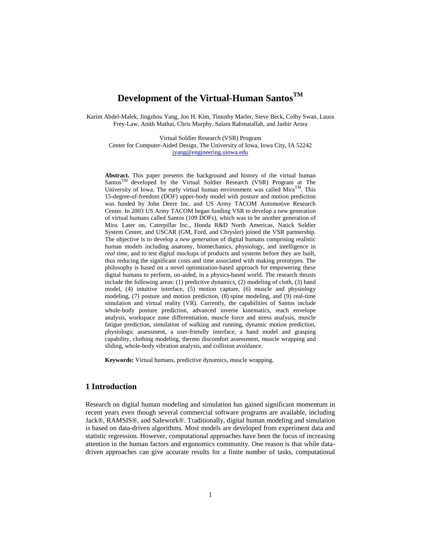# **Development of the Virtual-Human SantosTM**

Karim Abdel-Malek, Jingzhou Yang, Joo H. Kim, Timothy Marler, Steve Beck, Colby Swan, Laura Frey-Law, Anith Mathai, Chris Murphy, Salam Rahmatallah, and Jasbir Arora

Virtual Soldier Research (VSR) Program Center for Computer-Aided Design, The University of Iowa, Iowa City, IA 52242 jyang@engineering.uiowa.edu

**Abstract.** This paper presents the background and history of the virtual human Santos<sup>TM</sup> developed by the Virtual Soldier Research (VSR) Program at The University of Iowa. The early virtual human environment was called Mira<sup>TM</sup>. This 15-degree-of-freedom (DOF) upper-body model with posture and motion prediction was funded by John Deere Inc. and US Army TACOM Automotive Research Center. In 2003 US Army TACOM began funding VSR to develop a new generation of virtual humans called Santos (109 DOFs), which was to be another generation of Mira. Later on, Caterpillar Inc., Honda R&D North Americas, Natick Soldier System Center, and USCAR (GM, Ford, and Chrysler) joined the VSR partnership. The objective is to develop a *new generation* of digital humans comprising realistic human models including anatomy, biomechanics, physiology, and intelligence in *real time*, and to test digital mockups of products and systems before they are built, thus reducing the significant costs and time associated with making prototypes. The philosophy is based on a novel optimization-based approach for empowering these digital humans to perform, un-aided, in a physics-based world. The research thrusts include the following areas: (1) predictive dynamics, (2) modeling of cloth, (3) hand model, (4) intuitive interface, (5) motion capture, (6) muscle and physiology modeling, (7) posture and motion prediction, (8) spine modeling, and (9) real-time simulation and virtual reality (VR). Currently, the capabilities of Santos include whole-body posture prediction, advanced inverse kinematics, reach envelope analysis, workspace zone differentiation, muscle force and stress analysis, muscle fatigue prediction, simulation of walking and running, dynamic motion prediction, physiologic assessment, a user-friendly interface, a hand model and grasping capability, clothing modeling, thermo discomfort assessment, muscle wrapping and sliding, whole-body vibration analysis, and collision avoidance.

**Keywords:** Virtual humans, predictive dynamics, muscle wrapping.

## **1 Introduction**

Research on digital human modeling and simulation has gained significant momentum in recent years even though several commercial software programs are available, including Jack®, RAMSIS®, and Safework®. Traditionally, digital human modeling and simulation is based on data-driven algorithms. Most models are developed from experiment data and statistic regression. However, computational approaches have been the focus of increasing attention in the human factors and ergonomics community. One reason is that while datadriven approaches can give accurate results for a finite number of tasks, computational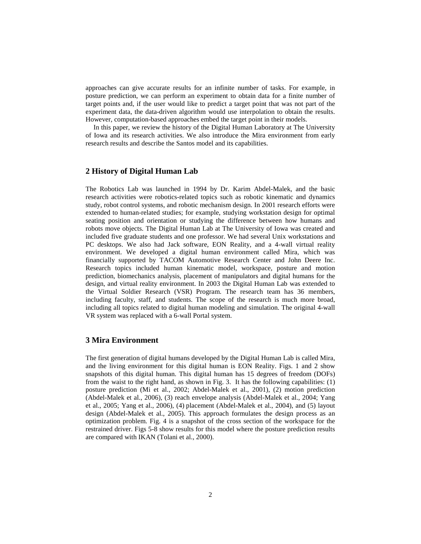approaches can give accurate results for an infinite number of tasks. For example, in posture prediction, we can perform an experiment to obtain data for a finite number of target points and, if the user would like to predict a target point that was not part of the experiment data, the data-driven algorithm would use interpolation to obtain the results. However, computation-based approaches embed the target point in their models.

In this paper, we review the history of the Digital Human Laboratory at The University of Iowa and its research activities. We also introduce the Mira environment from early research results and describe the Santos model and its capabilities.

### **2 History of Digital Human Lab**

The Robotics Lab was launched in 1994 by Dr. Karim Abdel-Malek, and the basic research activities were robotics-related topics such as robotic kinematic and dynamics study, robot control systems, and robotic mechanism design. In 2001 research efforts were extended to human-related studies; for example, studying workstation design for optimal seating position and orientation or studying the difference between how humans and robots move objects. The Digital Human Lab at The University of Iowa was created and included five graduate students and one professor. We had several Unix workstations and PC desktops. We also had Jack software, EON Reality, and a 4-wall virtual reality environment. We developed a digital human environment called Mira, which was financially supported by TACOM Automotive Research Center and John Deere Inc. Research topics included human kinematic model, workspace, posture and motion prediction, biomechanics analysis, placement of manipulators and digital humans for the design, and virtual reality environment. In 2003 the Digital Human Lab was extended to the Virtual Soldier Research (VSR) Program. The research team has 36 members, including faculty, staff, and students. The scope of the research is much more broad, including all topics related to digital human modeling and simulation. The original 4-wall VR system was replaced with a 6-wall Portal system.

### **3 Mira Environment**

The first generation of digital humans developed by the Digital Human Lab is called Mira, and the living environment for this digital human is EON Reality. Figs. 1 and 2 show snapshots of this digital human. This digital human has 15 degrees of freedom (DOFs) from the waist to the right hand, as shown in Fig. 3. It has the following capabilities: (1) posture prediction (Mi et al., 2002; Abdel-Malek et al., 2001), (2) motion prediction (Abdel-Malek et al., 2006), (3) reach envelope analysis (Abdel-Malek et al., 2004; Yang et al., 2005; Yang et al., 2006), (4) placement (Abdel-Malek et al., 2004), and (5) layout design (Abdel-Malek et al., 2005). This approach formulates the design process as an optimization problem. Fig. 4 is a snapshot of the cross section of the workspace for the restrained driver. Figs 5-8 show results for this model where the posture prediction results are compared with IKAN (Tolani et al., 2000).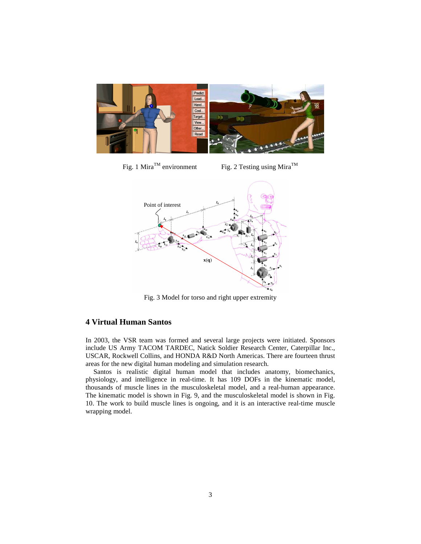

Fig. 1 Mira<sup>TM</sup> environment Fig. 2 Testing using Mira<sup>TM</sup>



Fig. 3 Model for torso and right upper extremity

# **4 Virtual Human Santos**

In 2003, the VSR team was formed and several large projects were initiated. Sponsors include US Army TACOM TARDEC, Natick Soldier Research Center, Caterpillar Inc., USCAR, Rockwell Collins, and HONDA R&D North Americas. There are fourteen thrust areas for the new digital human modeling and simulation research.

Santos is realistic digital human model that includes anatomy, biomechanics, physiology, and intelligence in real-time. It has 109 DOFs in the kinematic model, thousands of muscle lines in the musculoskeletal model, and a real-human appearance. The kinematic model is shown in Fig. 9, and the musculoskeletal model is shown in Fig. 10. The work to build muscle lines is ongoing, and it is an interactive real-time muscle wrapping model.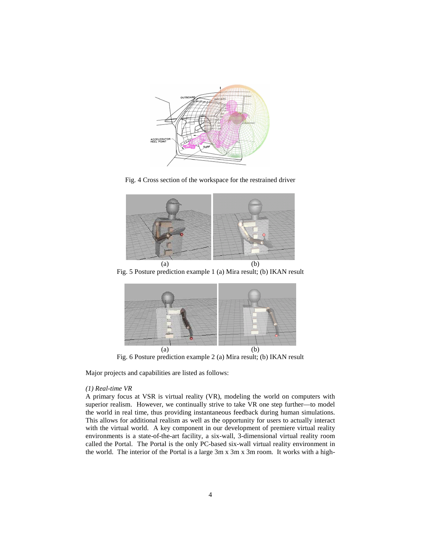

Fig. 4 Cross section of the workspace for the restrained driver



Fig. 5 Posture prediction example 1 (a) Mira result; (b) IKAN result



Fig. 6 Posture prediction example 2 (a) Mira result; (b) IKAN result

Major projects and capabilities are listed as follows:

#### *(1) Real-time VR*

A primary focus at VSR is virtual reality (VR), modeling the world on computers with superior realism. However, we continually strive to take VR one step further—to model the world in real time, thus providing instantaneous feedback during human simulations. This allows for additional realism as well as the opportunity for users to actually interact with the virtual world. A key component in our development of premiere virtual reality environments is a state-of-the-art facility, a six-wall, 3-dimensional virtual reality room called the Portal. The Portal is the only PC-based six-wall virtual reality environment in the world. The interior of the Portal is a large 3m x 3m x 3m room. It works with a high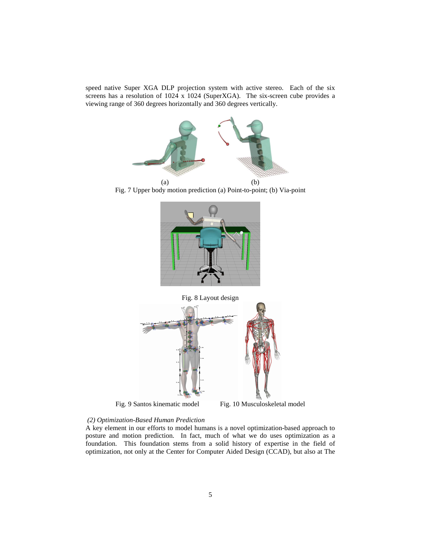speed native Super XGA DLP projection system with active stereo. Each of the six screens has a resolution of 1024 x 1024 (SuperXGA). The six-screen cube provides a viewing range of 360 degrees horizontally and 360 degrees vertically.



Fig. 7 Upper body motion prediction (a) Point-to-point; (b) Via-point



Fig. 8 Layout design



Fig. 9 Santos kinematic model Fig. 10 Musculoskeletal model

#### *(2) Optimization-Based Human Prediction*

A key element in our efforts to model humans is a novel optimization-based approach to posture and motion prediction. In fact, much of what we do uses optimization as a foundation. This foundation stems from a solid history of expertise in the field of optimization, not only at the Center for Computer Aided Design (CCAD), but also at The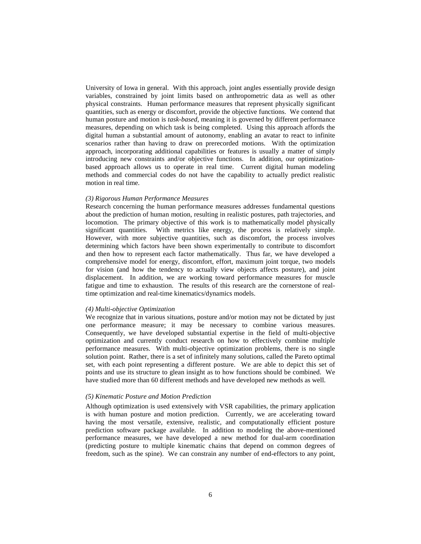University of Iowa in general. With this approach, joint angles essentially provide design variables, constrained by joint limits based on anthropometric data as well as other physical constraints. Human performance measures that represent physically significant quantities, such as energy or discomfort, provide the objective functions. We contend that human posture and motion is *task-based*, meaning it is governed by different performance measures, depending on which task is being completed. Using this approach affords the digital human a substantial amount of autonomy, enabling an avatar to react to infinite scenarios rather than having to draw on prerecorded motions. With the optimization approach, incorporating additional capabilities or features is usually a matter of simply introducing new constraints and/or objective functions. In addition, our optimizationbased approach allows us to operate in real time. Current digital human modeling methods and commercial codes do not have the capability to actually predict realistic motion in real time.

#### *(3) Rigorous Human Performance Measures*

Research concerning the human performance measures addresses fundamental questions about the prediction of human motion, resulting in realistic postures, path trajectories, and locomotion. The primary objective of this work is to mathematically model physically significant quantities. With metrics like energy, the process is relatively simple. However, with more subjective quantities, such as discomfort, the process involves determining which factors have been shown experimentally to contribute to discomfort and then how to represent each factor mathematically. Thus far, we have developed a comprehensive model for energy, discomfort, effort, maximum joint torque, two models for vision (and how the tendency to actually view objects affects posture), and joint displacement. In addition, we are working toward performance measures for muscle fatigue and time to exhaustion. The results of this research are the cornerstone of realtime optimization and real-time kinematics/dynamics models.

#### *(4) Multi-objective Optimization*

We recognize that in various situations, posture and/or motion may not be dictated by just one performance measure; it may be necessary to combine various measures. Consequently, we have developed substantial expertise in the field of multi-objective optimization and currently conduct research on how to effectively combine multiple performance measures. With multi-objective optimization problems, there is no single solution point. Rather, there is a set of infinitely many solutions, called the Pareto optimal set, with each point representing a different posture. We are able to depict this set of points and use its structure to glean insight as to how functions should be combined. We have studied more than 60 different methods and have developed new methods as well.

#### *(5) Kinematic Posture and Motion Prediction*

Although optimization is used extensively with VSR capabilities, the primary application is with human posture and motion prediction. Currently, we are accelerating toward having the most versatile, extensive, realistic, and computationally efficient posture prediction software package available. In addition to modeling the above-mentioned performance measures, we have developed a new method for dual-arm coordination (predicting posture to multiple kinematic chains that depend on common degrees of freedom, such as the spine). We can constrain any number of end-effectors to any point,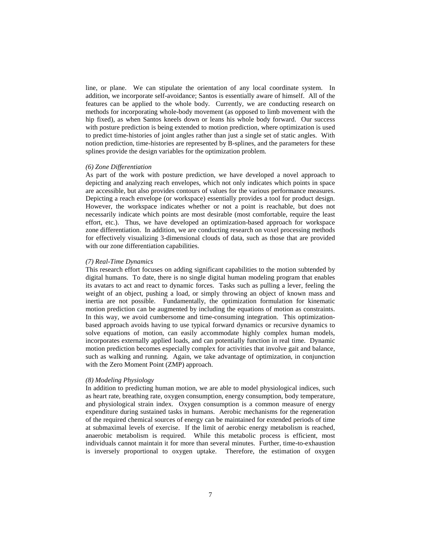line, or plane. We can stipulate the orientation of any local coordinate system. In addition, we incorporate self-avoidance; Santos is essentially aware of himself. All of the features can be applied to the whole body. Currently, we are conducting research on methods for incorporating whole-body movement (as opposed to limb movement with the hip fixed), as when Santos kneels down or leans his whole body forward. Our success with posture prediction is being extended to motion prediction, where optimization is used to predict time-histories of joint angles rather than just a single set of static angles. With notion prediction, time-histories are represented by B-splines, and the parameters for these splines provide the design variables for the optimization problem.

#### *(6) Zone Differentiation*

As part of the work with posture prediction, we have developed a novel approach to depicting and analyzing reach envelopes, which not only indicates which points in space are accessible, but also provides contours of values for the various performance measures. Depicting a reach envelope (or workspace) essentially provides a tool for product design. However, the workspace indicates whether or not a point is reachable, but does not necessarily indicate which points are most desirable (most comfortable, require the least effort, etc.). Thus, we have developed an optimization-based approach for workspace zone differentiation. In addition, we are conducting research on voxel processing methods for effectively visualizing 3-dimensional clouds of data, such as those that are provided with our zone differentiation capabilities.

#### *(7) Real-Time Dynamics*

This research effort focuses on adding significant capabilities to the motion subtended by digital humans. To date, there is no single digital human modeling program that enables its avatars to act and react to dynamic forces. Tasks such as pulling a lever, feeling the weight of an object, pushing a load, or simply throwing an object of known mass and inertia are not possible. Fundamentally, the optimization formulation for kinematic motion prediction can be augmented by including the equations of motion as constraints. In this way, we avoid cumbersome and time-consuming integration. This optimizationbased approach avoids having to use typical forward dynamics or recursive dynamics to solve equations of motion, can easily accommodate highly complex human models, incorporates externally applied loads, and can potentially function in real time. Dynamic motion prediction becomes especially complex for activities that involve gait and balance, such as walking and running. Again, we take advantage of optimization, in conjunction with the Zero Moment Point (ZMP) approach.

#### *(8) Modeling Physiology*

In addition to predicting human motion, we are able to model physiological indices, such as heart rate, breathing rate, oxygen consumption, energy consumption, body temperature, and physiological strain index. Oxygen consumption is a common measure of energy expenditure during sustained tasks in humans. Aerobic mechanisms for the regeneration of the required chemical sources of energy can be maintained for extended periods of time at submaximal levels of exercise. If the limit of aerobic energy metabolism is reached, anaerobic metabolism is required. While this metabolic process is efficient, most individuals cannot maintain it for more than several minutes. Further, time-to-exhaustion is inversely proportional to oxygen uptake. Therefore, the estimation of oxygen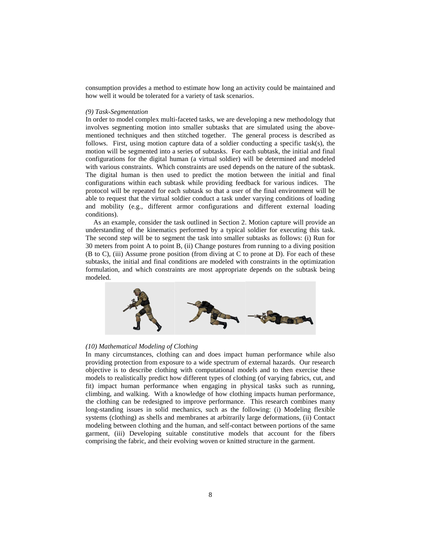consumption provides a method to estimate how long an activity could be maintained and how well it would be tolerated for a variety of task scenarios.

#### *(9) Task-Segmentation*

In order to model complex multi-faceted tasks, we are developing a new methodology that involves segmenting motion into smaller subtasks that are simulated using the abovementioned techniques and then stitched together. The general process is described as follows. First, using motion capture data of a soldier conducting a specific task(s), the motion will be segmented into a series of subtasks. For each subtask, the initial and final configurations for the digital human (a virtual soldier) will be determined and modeled with various constraints. Which constraints are used depends on the nature of the subtask. The digital human is then used to predict the motion between the initial and final configurations within each subtask while providing feedback for various indices. The protocol will be repeated for each subtask so that a user of the final environment will be able to request that the virtual soldier conduct a task under varying conditions of loading and mobility (e.g., different armor configurations and different external loading conditions).

As an example, consider the task outlined in Section 2. Motion capture will provide an understanding of the kinematics performed by a typical soldier for executing this task. The second step will be to segment the task into smaller subtasks as follows: (i) Run for 30 meters from point A to point B, (ii) Change postures from running to a diving position (B to C), (iii) Assume prone position (from diving at C to prone at D). For each of these subtasks, the initial and final conditions are modeled with constraints in the optimization formulation, and which constraints are most appropriate depends on the subtask being modeled.



#### *(10) Mathematical Modeling of Clothing*

In many circumstances, clothing can and does impact human performance while also providing protection from exposure to a wide spectrum of external hazards. Our research objective is to describe clothing with computational models and to then exercise these models to realistically predict how different types of clothing (of varying fabrics, cut, and fit) impact human performance when engaging in physical tasks such as running, climbing, and walking. With a knowledge of how clothing impacts human performance, the clothing can be redesigned to improve performance. This research combines many long-standing issues in solid mechanics, such as the following: (i) Modeling flexible systems (clothing) as shells and membranes at arbitrarily large deformations, (ii) Contact modeling between clothing and the human, and self-contact between portions of the same garment, (iii) Developing suitable constitutive models that account for the fibers comprising the fabric, and their evolving woven or knitted structure in the garment.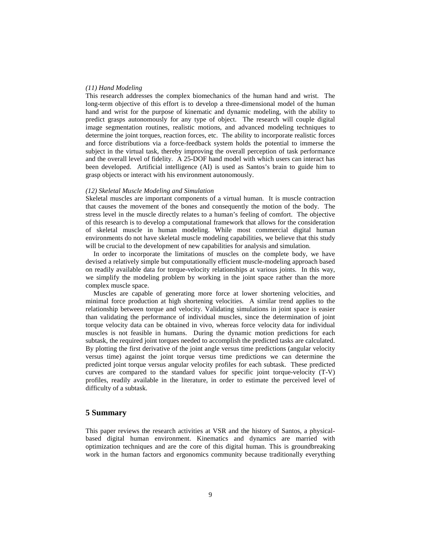#### *(11) Hand Modeling*

This research addresses the complex biomechanics of the human hand and wrist. The long-term objective of this effort is to develop a three-dimensional model of the human hand and wrist for the purpose of kinematic and dynamic modeling, with the ability to predict grasps autonomously for any type of object. The research will couple digital image segmentation routines, realistic motions, and advanced modeling techniques to determine the joint torques, reaction forces, etc. The ability to incorporate realistic forces and force distributions via a force-feedback system holds the potential to immerse the subject in the virtual task, thereby improving the overall perception of task performance and the overall level of fidelity. A 25-DOF hand model with which users can interact has been developed. Artificial intelligence (AI) is used as Santos's brain to guide him to grasp objects or interact with his environment autonomously.

#### *(12) Skeletal Muscle Modeling and Simulation*

Skeletal muscles are important components of a virtual human. It is muscle contraction that causes the movement of the bones and consequently the motion of the body. The stress level in the muscle directly relates to a human's feeling of comfort. The objective of this research is to develop a computational framework that allows for the consideration of skeletal muscle in human modeling. While most commercial digital human environments do not have skeletal muscle modeling capabilities, we believe that this study will be crucial to the development of new capabilities for analysis and simulation.

In order to incorporate the limitations of muscles on the complete body, we have devised a relatively simple but computationally efficient muscle-modeling approach based on readily available data for torque-velocity relationships at various joints. In this way, we simplify the modeling problem by working in the joint space rather than the more complex muscle space.

Muscles are capable of generating more force at lower shortening velocities, and minimal force production at high shortening velocities. A similar trend applies to the relationship between torque and velocity. Validating simulations in joint space is easier than validating the performance of individual muscles, since the determination of joint torque velocity data can be obtained in vivo, whereas force velocity data for individual muscles is not feasible in humans. During the dynamic motion predictions for each subtask, the required joint torques needed to accomplish the predicted tasks are calculated. By plotting the first derivative of the joint angle versus time predictions (angular velocity versus time) against the joint torque versus time predictions we can determine the predicted joint torque versus angular velocity profiles for each subtask. These predicted curves are compared to the standard values for specific joint torque-velocity (T-V) profiles, readily available in the literature, in order to estimate the perceived level of difficulty of a subtask.

### **5 Summary**

This paper reviews the research activities at VSR and the history of Santos, a physicalbased digital human environment. Kinematics and dynamics are married with optimization techniques and are the core of this digital human. This is groundbreaking work in the human factors and ergonomics community because traditionally everything